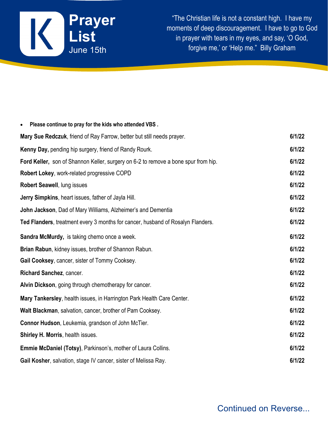

"The Christian life is not a constant high. I have my moments of deep discouragement. I have to go to God in prayer with tears in my eyes, and say, 'O God, forgive me,' or 'Help me." Billy Graham

| Please continue to pray for the kids who attended VBS.<br>$\bullet$                |        |
|------------------------------------------------------------------------------------|--------|
| Mary Sue Redczuk, friend of Ray Farrow, better but still needs prayer.             | 6/1/22 |
| Kenny Day, pending hip surgery, friend of Randy Rourk.                             | 6/1/22 |
| Ford Keller, son of Shannon Keller, surgery on 6-2 to remove a bone spur from hip. | 6/1/22 |
| Robert Lokey, work-related progressive COPD                                        | 6/1/22 |
| Robert Seawell, lung issues                                                        | 6/1/22 |
| <b>Jerry Simpkins, heart issues, father of Jayla Hill.</b>                         | 6/1/22 |
| John Jackson, Dad of Mary Williams, Alzheimer's and Dementia                       | 6/1/22 |
| Ted Flanders, treatment every 3 months for cancer, husband of Rosalyn Flanders.    | 6/1/22 |
| Sandra McMurdy, is taking chemo once a week.                                       | 6/1/22 |
| Brian Rabun, kidney issues, brother of Shannon Rabun.                              | 6/1/22 |
| Gail Cooksey, cancer, sister of Tommy Cooksey.                                     | 6/1/22 |
| Richard Sanchez, cancer.                                                           | 6/1/22 |
| Alvin Dickson, going through chemotherapy for cancer.                              | 6/1/22 |
| Mary Tankersley, health issues, in Harrington Park Health Care Center.             | 6/1/22 |
| Walt Blackman, salvation, cancer, brother of Pam Cooksey.                          | 6/1/22 |
| <b>Connor Hudson, Leukemia, grandson of John McTier.</b>                           | 6/1/22 |
| Shirley H. Morris, health issues.                                                  | 6/1/22 |
| <b>Emmie McDaniel (Totsy), Parkinson's, mother of Laura Collins.</b>               | 6/1/22 |
| Gail Kosher, salvation, stage IV cancer, sister of Melissa Ray.                    | 6/1/22 |